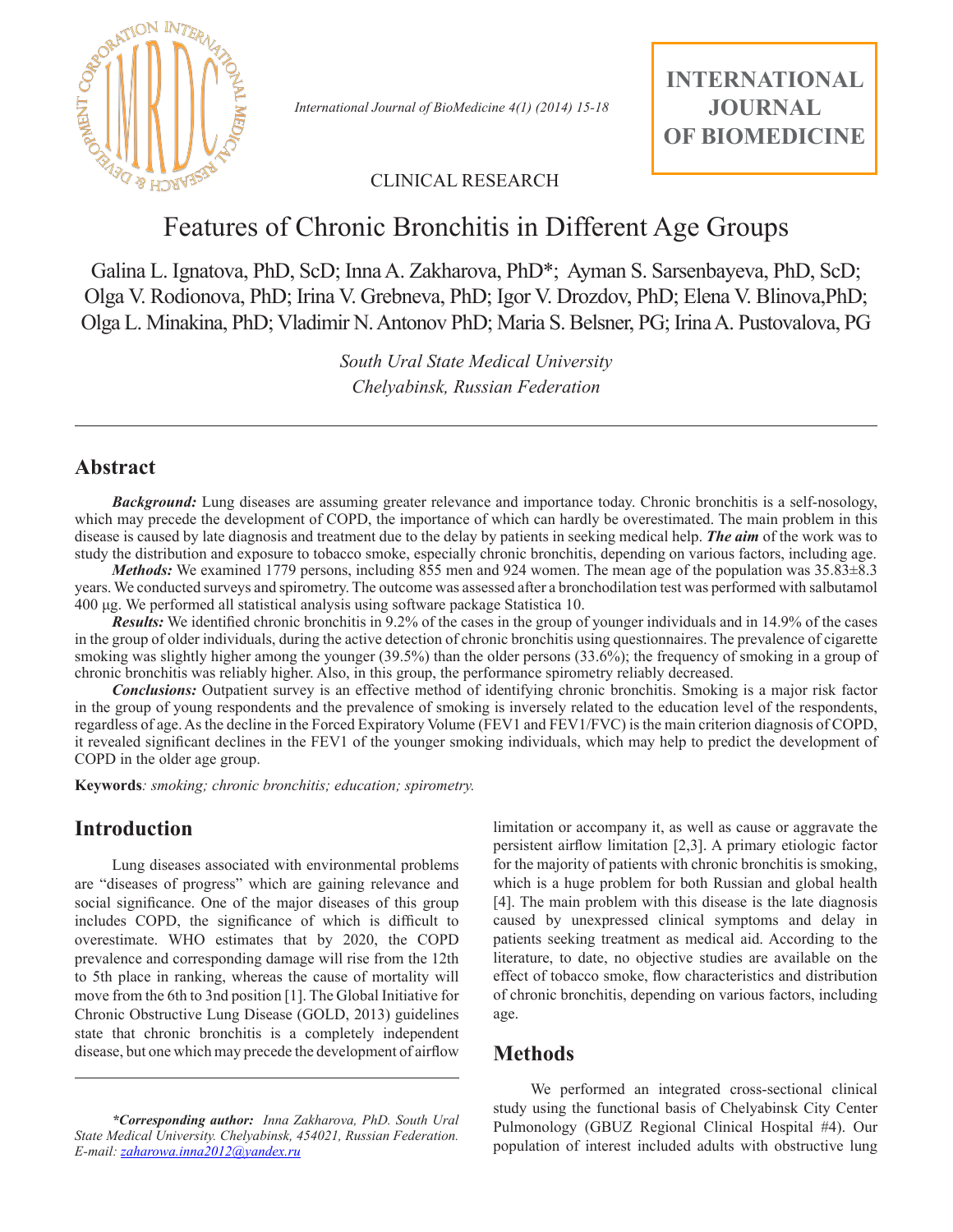

 *International Journal of BioMedicine 4(1) (2014) 15-18*

## CLINICAL RESEARCH

# Features of Chronic Bronchitis in Different Age Groups

Galina L. Ignatova, PhD, ScD; Inna A. Zakharova, PhD\*; Ayman S. Sarsenbayeva, PhD, ScD; Olga V. Rodionova, PhD; Irina V. Grebneva, PhD; Igor V. Drozdov, PhD; Elena V. Blinova,PhD; Olga L. Minakina, PhD; Vladimir N. Antonov PhD; Maria S. Belsner, PG; Irina A. Pustovalova, PG

> *South Ural State Medical University Chelyabinsk, Russian Federation*

### **Abstract**

*Background:* Lung diseases are assuming greater relevance and importance today. Chronic bronchitis is a self-nosology, which may precede the development of COPD, the importance of which can hardly be overestimated. The main problem in this disease is caused by late diagnosis and treatment due to the delay by patients in seeking medical help. *The aim* of the work was to study the distribution and exposure to tobacco smoke, especially chronic bronchitis, depending on various factors, including age.

*Methods:* We examined 1779 persons, including 855 men and 924 women. The mean age of the population was 35.83 $\pm$ 8.3 years. We conducted surveys and spirometry. The outcome was assessed after a bronchodilation test was performed with salbutamol 400 μg. We performed all statistical analysis using software package Statistica 10.

*Results:* We identified chronic bronchitis in 9.2% of the cases in the group of younger individuals and in 14.9% of the cases in the group of older individuals, during the active detection of chronic bronchitis using questionnaires. The prevalence of cigarette smoking was slightly higher among the younger (39.5%) than the older persons (33.6%); the frequency of smoking in a group of chronic bronchitis was reliably higher. Also, in this group, the performance spirometry reliably decreased.

*Conclusions:* Outpatient survey is an effective method of identifying chronic bronchitis. Smoking is a major risk factor in the group of young respondents and the prevalence of smoking is inversely related to the education level of the respondents, regardless of age. As the decline in the Forced Expiratory Volume (FEV1 and FEV1/FVC) is the main criterion diagnosis of COPD, it revealed significant declines in the FEV1 of the younger smoking individuals, which may help to predict the development of COPD in the older age group.

**Keywords***: smoking; chronic bronchitis; education; spirometry.*

# **Introduction**

Lung diseases associated with environmental problems are "diseases of progress" which are gaining relevance and social significance. One of the major diseases of this group includes COPD, the significance of which is difficult to overestimate. WHO estimates that by 2020, the COPD prevalence and corresponding damage will rise from the 12th to 5th place in ranking, whereas the cause of mortality will move from the 6th to 3nd position [1]. The Global Initiative for Chronic Obstructive Lung Disease (GOLD, 2013) guidelines state that chronic bronchitis is a completely independent disease, but one which may precede the development of airflow

*\*Corresponding author: Inna Zakharova, PhD. South Ural State Medical University. Chelyabinsk, 454021, Russian Federation. E-mail: zaharowa.inna2012@yandex.ru*

limitation or accompany it, as well as cause or aggravate the persistent airflow limitation [2,3]. A primary etiologic factor for the majority of patients with chronic bronchitis is smoking, which is a huge problem for both Russian and global health [4]. The main problem with this disease is the late diagnosis caused by unexpressed clinical symptoms and delay in patients seeking treatment as medical aid. According to the literature, to date, no objective studies are available on the effect of tobacco smoke, flow characteristics and distribution of chronic bronchitis, depending on various factors, including age.

### **Methods**

We performed an integrated cross-sectional clinical study using the functional basis of Chelyabinsk City Center Pulmonology (GBUZ Regional Clinical Hospital #4). Our population of interest included adults with obstructive lung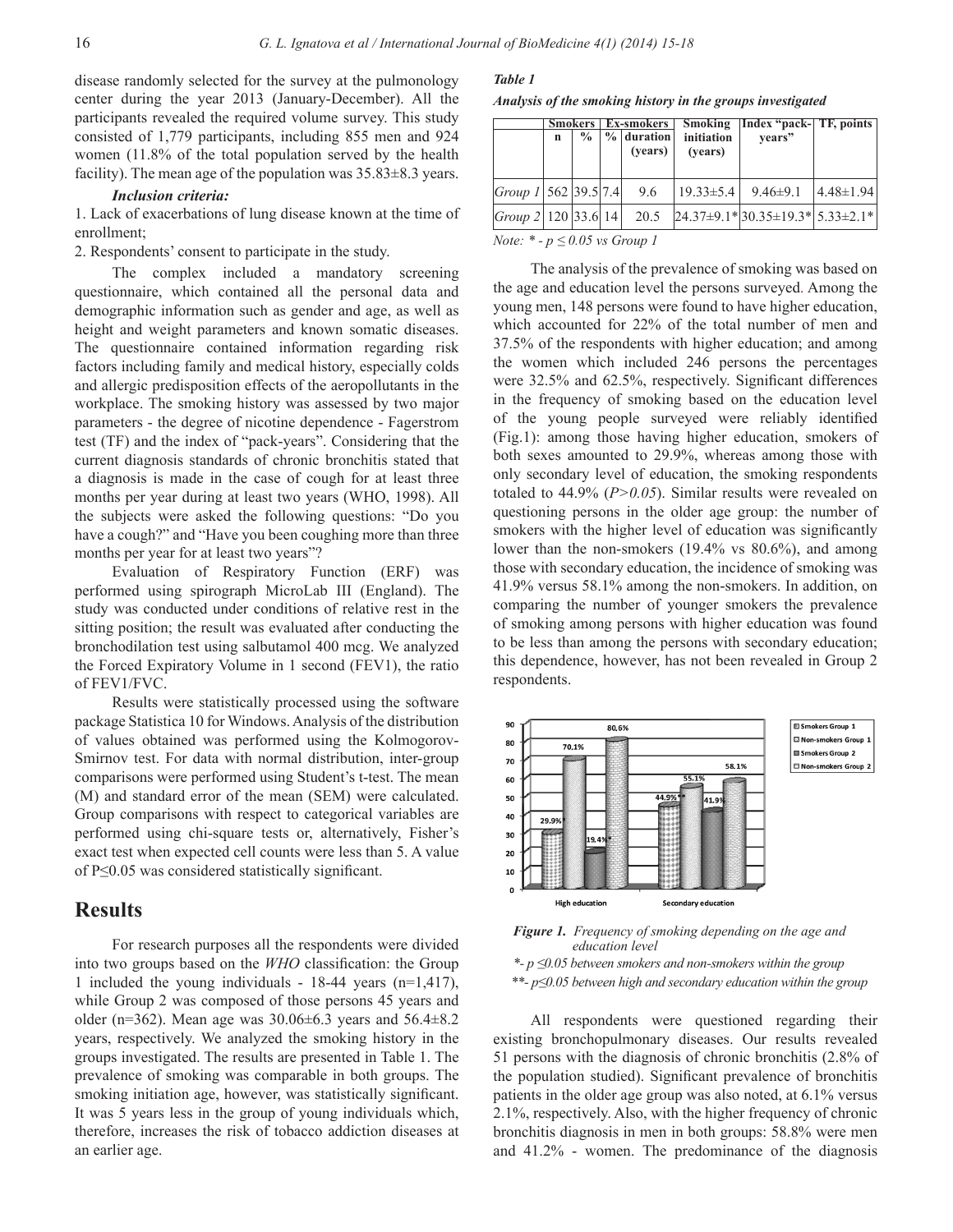disease randomly selected for the survey at the pulmonology center during the year 2013 (January-December). All the participants revealed the required volume survey. This study consisted of 1,779 participants, including 855 men and 924 women (11.8% of the total population served by the health facility). The mean age of the population was  $35.83 \pm 8.3$  years.

#### *Inclusion criteria:*

1. Lack of exacerbations of lung disease known at the time of enrollment;

2. Respondents' consent to participate in the study.

The complex included a mandatory screening questionnaire, which contained all the personal data and demographic information such as gender and age, as well as height and weight parameters and known somatic diseases. The questionnaire contained information regarding risk factors including family and medical history, especially colds and allergic predisposition effects of the aeropollutants in the workplace. The smoking history was assessed by two major parameters - the degree of nicotine dependence - Fagerstrom test (TF) and the index of "pack-years". Considering that the current diagnosis standards of chronic bronchitis stated that a diagnosis is made in the case of cough for at least three months per year during at least two years (WHO, 1998). All the subjects were asked the following questions: "Do you have a cough?" and "Have you been coughing more than three months per year for at least two years"?

Evaluation of Respiratory Function (ERF) was performed using spirograph MicroLab III (England). The study was conducted under conditions of relative rest in the sitting position; the result was evaluated after conducting the bronchodilation test using salbutamol 400 mcg. We analyzed the Forced Expiratory Volume in 1 second (FEV1), the ratio of FEV1/FVC.

Results were statistically processed using the software package Statistica 10 for Windows. Analysis of the distribution of values obtained was performed using the Kolmogorov-Smirnov test. For data with normal distribution, inter-group comparisons were performed using Student's t-test. The mean (M) and standard error of the mean (SEM) were calculated. Group comparisons with respect to categorical variables are performed using chi-square tests or, alternatively, Fisher's exact test when expected cell counts were less than 5. A value of P≤0.05 was considered statistically significant.

### **Results**

For research purposes all the respondents were divided into two groups based on the *WHO* classification: the Group 1 included the young individuals - 18-44 years (n=1,417), while Group 2 was composed of those persons 45 years and older (n=362). Mean age was  $30.06\pm6.3$  years and  $56.4\pm8.2$ years, respectively. We analyzed the smoking history in the groups investigated. The results are presented in Table 1. The prevalence of smoking was comparable in both groups. The smoking initiation age, however, was statistically significant. It was 5 years less in the group of young individuals which, therefore, increases the risk of tobacco addiction diseases at an earlier age.

#### *Table 1*

*Analysis of the smoking history in the groups investigated*

|                                                                 |             |               | <b>Smokers</b> Ex-smokers |                         |                       | Smoking   Index "pack-  TF, points       |                  |  |
|-----------------------------------------------------------------|-------------|---------------|---------------------------|-------------------------|-----------------------|------------------------------------------|------------------|--|
|                                                                 | $\mathbf n$ | $\frac{0}{0}$ |                           | $%$ duration<br>(years) | initiation<br>(vears) | vears"                                   |                  |  |
| Group $1 562 39.5 7.4 $                                         |             |               |                           | 9.6                     | $ 19.33 \pm 5.4 $     | $9.46 \pm 9.1$                           | $14.48 \pm 1.94$ |  |
| Group 2   120   33.6   14                                       |             |               |                           | 20.5                    |                       | $24.37\pm9.1*$ 30.35 ± 19.3* 5.33 ± 2.1* |                  |  |
| $\mathbf{v}$ and $\mathbf{v}$ and $\mathbf{v}$ and $\mathbf{v}$ |             |               |                           |                         |                       |                                          |                  |  |

*Note: \* - p ≤ 0.05 vs Group 1*

The analysis of the prevalence of smoking was based on the age and education level the persons surveyed. Among the young men, 148 persons were found to have higher education, which accounted for 22% of the total number of men and 37.5% of the respondents with higher education; and among the women which included 246 persons the percentages were 32.5% and 62.5%, respectively. Significant differences in the frequency of smoking based on the education level of the young people surveyed were reliably identified (Fig.1): among those having higher education, smokers of both sexes amounted to 29.9%, whereas among those with only secondary level of education, the smoking respondents totaled to 44.9% (*P>0.05*). Similar results were revealed on questioning persons in the older age group: the number of smokers with the higher level of education was significantly lower than the non-smokers (19.4% vs 80.6%), and among those with secondary education, the incidence of smoking was 41.9% versus 58.1% among the non-smokers. In addition, on comparing the number of younger smokers the prevalence of smoking among persons with higher education was found to be less than among the persons with secondary education; this dependence, however, has not been revealed in Group 2 respondents.



 *Figure 1. Frequency of smoking depending on the age and education level* 

 *\*- p ≤0.05 between smokers and non-smokers within the group \*\*- p≤0.05 between high and secondary education within the group*

All respondents were questioned regarding their existing bronchopulmonary diseases. Our results revealed 51 persons with the diagnosis of chronic bronchitis (2.8% of the population studied). Significant prevalence of bronchitis patients in the older age group was also noted, at 6.1% versus 2.1%, respectively. Also, with the higher frequency of chronic bronchitis diagnosis in men in both groups: 58.8% were men and 41.2% - women. The predominance of the diagnosis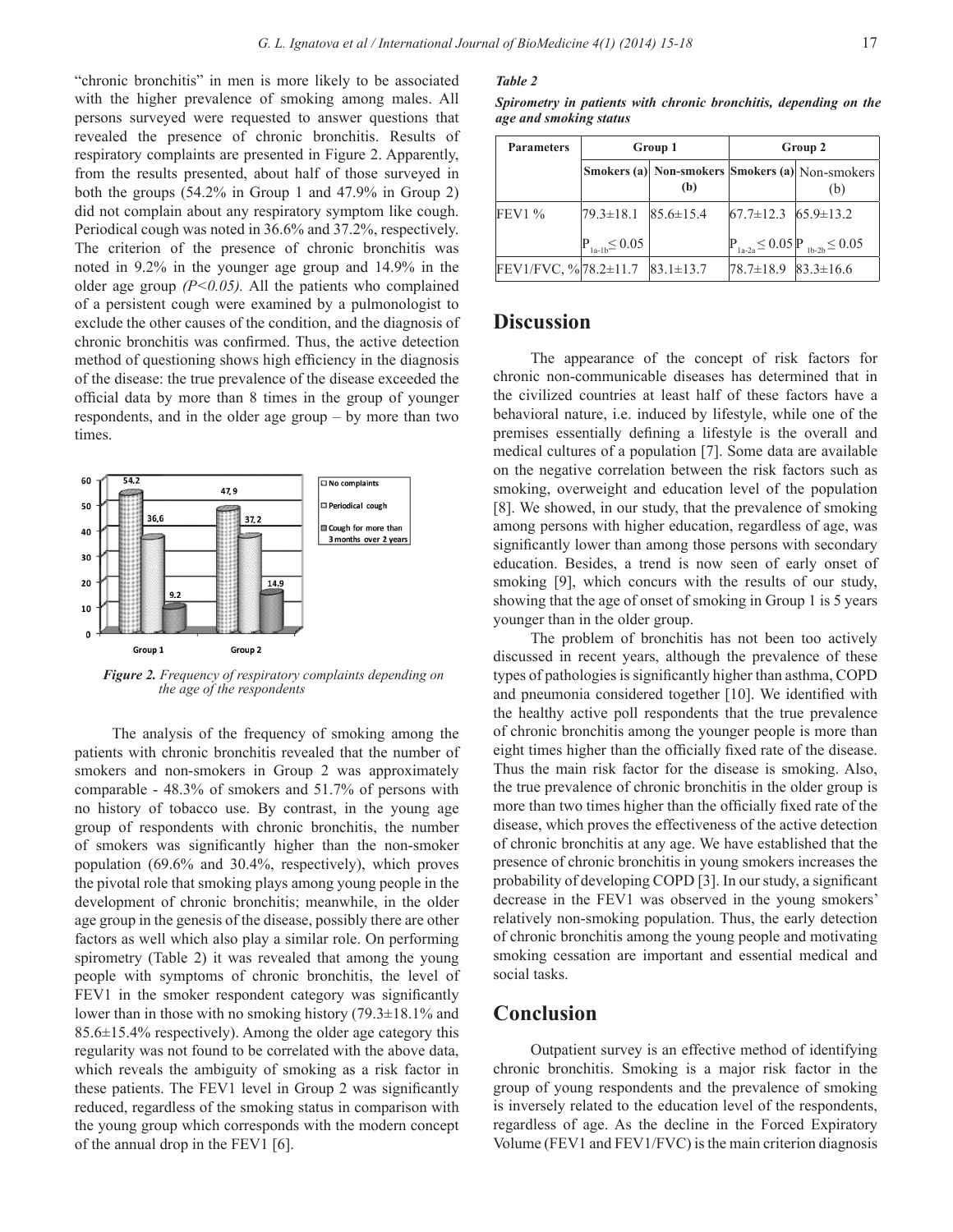"chronic bronchitis" in men is more likely to be associated with the higher prevalence of smoking among males. All persons surveyed were requested to answer questions that revealed the presence of chronic bronchitis. Results of respiratory complaints are presented in Figure 2. Apparently, from the results presented, about half of those surveyed in both the groups (54.2% in Group 1 and 47.9% in Group 2) did not complain about any respiratory symptom like cough. Periodical cough was noted in 36.6% and 37.2%, respectively. The criterion of the presence of chronic bronchitis was noted in 9.2% in the younger age group and 14.9% in the older age group  $(P<0.05)$ . All the patients who complained of a persistent cough were examined by a pulmonologist to exclude the other causes of the condition, and the diagnosis of chronic bronchitis was confirmed. Thus, the active detection method of questioning shows high efficiency in the diagnosis of the disease: the true prevalence of the disease exceeded the official data by more than 8 times in the group of younger respondents, and in the older age group – by more than two times.



 *Figure 2. Frequency of respiratory complaints depending on the age of the respondents* 

The analysis of the frequency of smoking among the patients with chronic bronchitis revealed that the number of smokers and non-smokers in Group 2 was approximately comparable - 48.3% of smokers and 51.7% of persons with no history of tobacco use. By contrast, in the young age group of respondents with chronic bronchitis, the number of smokers was significantly higher than the non-smoker population (69.6% and 30.4%, respectively), which proves the pivotal role that smoking plays among young people in the development of chronic bronchitis; meanwhile, in the older age group in the genesis of the disease, possibly there are other factors as well which also play a similar role. On performing spirometry (Table 2) it was revealed that among the young people with symptoms of chronic bronchitis, the level of FEV1 in the smoker respondent category was significantly lower than in those with no smoking history (79.3±18.1% and 85.6±15.4% respectively). Among the older age category this regularity was not found to be correlated with the above data, which reveals the ambiguity of smoking as a risk factor in these patients. The FEV1 level in Group 2 was significantly reduced, regardless of the smoking status in comparison with the young group which corresponds with the modern concept of the annual drop in the FEV1 [6].

#### *Table 2*

*Spirometry in patients with chronic bronchitis, depending on the age and smoking status*

| <b>Parameters</b>    | Group 1              |                 | Group 2                         |                                                        |  |
|----------------------|----------------------|-----------------|---------------------------------|--------------------------------------------------------|--|
|                      |                      | (b)             |                                 | Smokers (a) Non-smokers Smokers (a) Non-smokers<br>(b) |  |
| <b>FEV1 %</b>        | $79.3 \pm 18.1$      | $85.6 \pm 15.4$ | $67.7 \pm 12.3$ $65.9 \pm 13.2$ |                                                        |  |
|                      | $P_{1a-1b} \le 0.05$ |                 |                                 | $P_{1a-2a} \le 0.05 \left  P_{1b-2b} \le 0.05 \right $ |  |
| FEV1/FVC, %78.2±11.7 |                      | $83.1 \pm 13.7$ | $78.7 \pm 18.9$ 83.3 $\pm 16.6$ |                                                        |  |

### **Discussion**

The appearance of the concept of risk factors for chronic non-communicable diseases has determined that in the civilized countries at least half of these factors have a behavioral nature, i.e. induced by lifestyle, while one of the premises essentially defining a lifestyle is the overall and medical cultures of a population [7]. Some data are available on the negative correlation between the risk factors such as smoking, overweight and education level of the population [8]. We showed, in our study, that the prevalence of smoking among persons with higher education, regardless of age, was significantly lower than among those persons with secondary education. Besides, a trend is now seen of early onset of smoking [9], which concurs with the results of our study, showing that the age of onset of smoking in Group 1 is 5 years younger than in the older group.

The problem of bronchitis has not been too actively discussed in recent years, although the prevalence of these types of pathologies is significantly higher than asthma, COPD and pneumonia considered together [10]. We identified with the healthy active poll respondents that the true prevalence of chronic bronchitis among the younger people is more than eight times higher than the officially fixed rate of the disease. Thus the main risk factor for the disease is smoking. Also, the true prevalence of chronic bronchitis in the older group is more than two times higher than the officially fixed rate of the disease, which proves the effectiveness of the active detection of chronic bronchitis at any age. We have established that the presence of chronic bronchitis in young smokers increases the probability of developing COPD [3]. In our study, a significant decrease in the FEV1 was observed in the young smokers' relatively non-smoking population. Thus, the early detection of chronic bronchitis among the young people and motivating smoking cessation are important and essential medical and social tasks.

## **Conclusion**

Outpatient survey is an effective method of identifying chronic bronchitis. Smoking is a major risk factor in the group of young respondents and the prevalence of smoking is inversely related to the education level of the respondents, regardless of age. As the decline in the Forced Expiratory Volume (FEV1 and FEV1/FVC) is the main criterion diagnosis